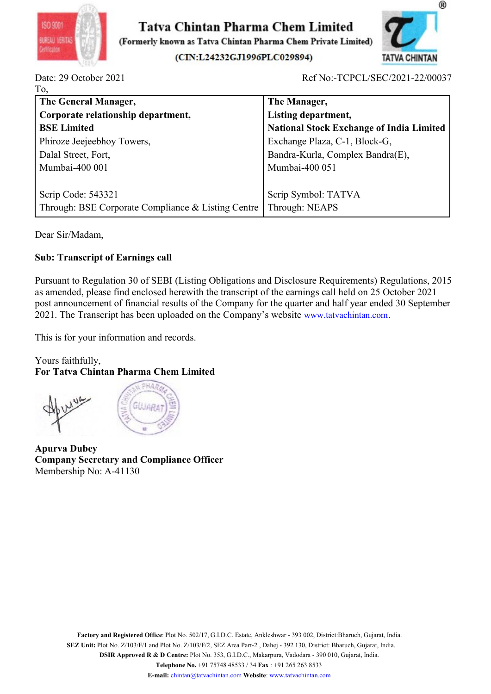



| ISO 9001<br>Tatva Chintan Pharma Chem Limited<br>BUREAU VERITA<br>(Formerly known as Tatva Chintan Pharma Chem Private Limited)                                                                                                                                                                                                                                                                                   | ®                                               |
|-------------------------------------------------------------------------------------------------------------------------------------------------------------------------------------------------------------------------------------------------------------------------------------------------------------------------------------------------------------------------------------------------------------------|-------------------------------------------------|
| (CIN:L24232GJ1996PLC029894)                                                                                                                                                                                                                                                                                                                                                                                       | <b>TATVA CHINTAN</b>                            |
| Date: 29 October 2021                                                                                                                                                                                                                                                                                                                                                                                             | Ref No:-TCPCL/SEC/2021-22/00037                 |
| To,<br>The General Manager,                                                                                                                                                                                                                                                                                                                                                                                       | The Manager,                                    |
| Corporate relationship department,                                                                                                                                                                                                                                                                                                                                                                                | Listing department,                             |
| <b>BSE Limited</b>                                                                                                                                                                                                                                                                                                                                                                                                | <b>National Stock Exchange of India Limited</b> |
| Phiroze Jeejeebhoy Towers,                                                                                                                                                                                                                                                                                                                                                                                        | Exchange Plaza, C-1, Block-G,                   |
| Dalal Street, Fort,                                                                                                                                                                                                                                                                                                                                                                                               | Bandra-Kurla, Complex Bandra(E),                |
| Mumbai-400 001                                                                                                                                                                                                                                                                                                                                                                                                    | Mumbai-400 051                                  |
|                                                                                                                                                                                                                                                                                                                                                                                                                   |                                                 |
| Scrip Code: 543321<br>Through: BSE Corporate Compliance & Listing Centre                                                                                                                                                                                                                                                                                                                                          | Scrip Symbol: TATVA<br>Through: NEAPS           |
| Dear Sir/Madam,                                                                                                                                                                                                                                                                                                                                                                                                   |                                                 |
| <b>Sub: Transcript of Earnings call</b>                                                                                                                                                                                                                                                                                                                                                                           |                                                 |
| Pursuant to Regulation 30 of SEBI (Listing Obligations and Disclosure Requirements) Regulations, 2015<br>as amended, please find enclosed herewith the transcript of the earnings call held on 25 October 2021<br>post announcement of financial results of the Company for the quarter and half year ended 30 September<br>2021. The Transcript has been uploaded on the Company's website www.tatvachintan.com. |                                                 |
| This is for your information and records.                                                                                                                                                                                                                                                                                                                                                                         |                                                 |
| Yours faithfully,<br><b>For Tatva Chintan Pharma Chem Limited</b>                                                                                                                                                                                                                                                                                                                                                 |                                                 |
|                                                                                                                                                                                                                                                                                                                                                                                                                   |                                                 |

Dear Siriwiadam,<br>
Sub: Transcript of Earnings call<br>
Pursuant to Regulation 30 of SEBI (Listing Obligations and Disclosure Requ<br>
as amended, please find enclosed herewith the transcript of the carnings call<br>
post announceme Sub: Transcript of Earnings call<br>
Pursuant to Regulation 30 of SEBI (Listing Obligations and Disclosure Requirements) Regulations, 2015<br>
as amended, please find enclosed herewith the transcript of the earnings call held on Sub: Franscript of Exercising Scali<br>
Pursuant to Regulation 30 of SEBI (Listing Obligations and Disclosure Requirements<br>
as amended, please find enclosed herewith the transcript of the earning scall held on<br>
2021. The Tran

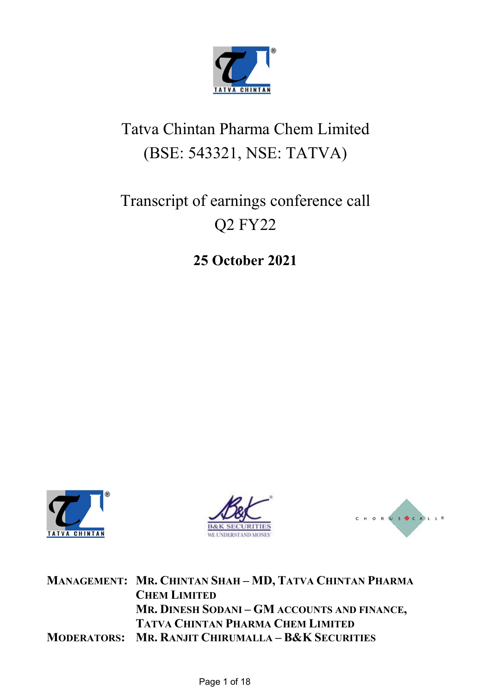

# Tatva Chintan Pharma Chem Limited (BSE: 543321, NSE: TATVA)

# Transcript of earnings conference call Q2 FY22

## 25 October 2021







MANAGEMENT: MR. CHINTAN SHAH – MD, TATVA CHINTAN PHARMA CHEM LIMITED MR. DINESH SODANI – GM ACCOUNTS AND FINANCE, TATVA CHINTAN PHARMA CHEM LIMITED MODERATORS: MR. RANJIT CHIRUMALLA – B&K SECURITIES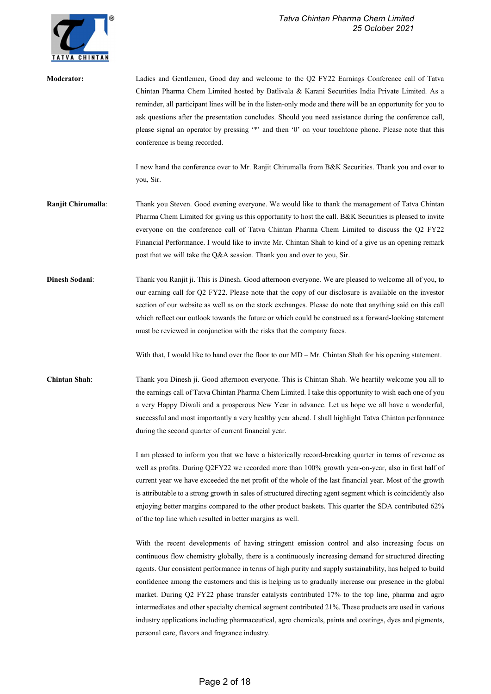

| <b>Moderator:</b>     | Ladies and Gentlemen, Good day and welcome to the Q2 FY22 Earnings Conference call of Tatva<br>Chintan Pharma Chem Limited hosted by Batlivala & Karani Securities India Private Limited. As a<br>reminder, all participant lines will be in the listen-only mode and there will be an opportunity for you to<br>ask questions after the presentation concludes. Should you need assistance during the conference call,<br>please signal an operator by pressing '*' and then '0' on your touchtone phone. Please note that this<br>conference is being recorded.<br>I now hand the conference over to Mr. Ranjit Chirumalla from B&K Securities. Thank you and over to<br>you, Sir.                                                                                                                       |
|-----------------------|------------------------------------------------------------------------------------------------------------------------------------------------------------------------------------------------------------------------------------------------------------------------------------------------------------------------------------------------------------------------------------------------------------------------------------------------------------------------------------------------------------------------------------------------------------------------------------------------------------------------------------------------------------------------------------------------------------------------------------------------------------------------------------------------------------|
| Ranjit Chirumalla:    | Thank you Steven. Good evening everyone. We would like to thank the management of Tatva Chintan<br>Pharma Chem Limited for giving us this opportunity to host the call. B&K Securities is pleased to invite<br>everyone on the conference call of Tatva Chintan Pharma Chem Limited to discuss the Q2 FY22<br>Financial Performance. I would like to invite Mr. Chintan Shah to kind of a give us an opening remark<br>post that we will take the Q&A session. Thank you and over to you, Sir.                                                                                                                                                                                                                                                                                                             |
| <b>Dinesh Sodani:</b> | Thank you Ranjit ji. This is Dinesh. Good afternoon everyone. We are pleased to welcome all of you, to<br>our earning call for Q2 FY22. Please note that the copy of our disclosure is available on the investor<br>section of our website as well as on the stock exchanges. Please do note that anything said on this call<br>which reflect our outlook towards the future or which could be construed as a forward-looking statement<br>must be reviewed in conjunction with the risks that the company faces.                                                                                                                                                                                                                                                                                          |
|                       | With that, I would like to hand over the floor to our MD – Mr. Chintan Shah for his opening statement.                                                                                                                                                                                                                                                                                                                                                                                                                                                                                                                                                                                                                                                                                                     |
| <b>Chintan Shah:</b>  | Thank you Dinesh ji. Good afternoon everyone. This is Chintan Shah. We heartily welcome you all to<br>the earnings call of Tatva Chintan Pharma Chem Limited. I take this opportunity to wish each one of you<br>a very Happy Diwali and a prosperous New Year in advance. Let us hope we all have a wonderful,<br>successful and most importantly a very healthy year ahead. I shall highlight Tatva Chintan performance<br>during the second quarter of current financial year.                                                                                                                                                                                                                                                                                                                          |
|                       | I am pleased to inform you that we have a historically record-breaking quarter in terms of revenue as<br>well as profits. During Q2FY22 we recorded more than 100% growth year-on-year, also in first half of<br>current year we have exceeded the net profit of the whole of the last financial year. Most of the growth<br>is attributable to a strong growth in sales of structured directing agent segment which is coincidently also<br>enjoying better margins compared to the other product baskets. This quarter the SDA contributed 62%<br>of the top line which resulted in better margins as well.                                                                                                                                                                                              |
|                       | With the recent developments of having stringent emission control and also increasing focus on<br>continuous flow chemistry globally, there is a continuously increasing demand for structured directing<br>agents. Our consistent performance in terms of high purity and supply sustainability, has helped to build<br>confidence among the customers and this is helping us to gradually increase our presence in the global<br>market. During Q2 FY22 phase transfer catalysts contributed 17% to the top line, pharma and agro<br>intermediates and other specialty chemical segment contributed 21%. These products are used in various<br>industry applications including pharmaceutical, agro chemicals, paints and coatings, dyes and pigments,<br>personal care, flavors and fragrance industry. |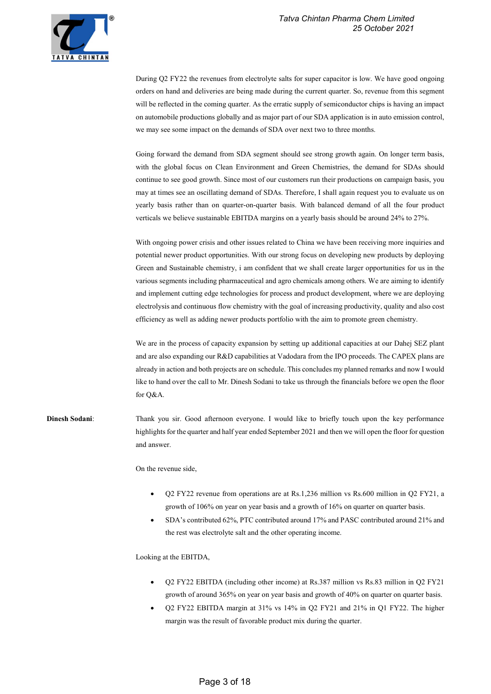

During Q2 FY22 the revenues from electrolyte salts for super capacitor is low. We have good ongoing orders on hand and deliveries are being made during the current quarter. So, revenue from this segment will be reflected in the coming quarter. As the erratic supply of semiconductor chips is having an impact on automobile productions globally and as major part of our SDA application is in auto emission control, we may see some impact on the demands of SDA over next two to three months.

Going forward the demand from SDA segment should see strong growth again. On longer term basis, with the global focus on Clean Environment and Green Chemistries, the demand for SDAs should continue to see good growth. Since most of our customers run their productions on campaign basis, you may at times see an oscillating demand of SDAs. Therefore, I shall again request you to evaluate us on yearly basis rather than on quarter-on-quarter basis. With balanced demand of all the four product verticals we believe sustainable EBITDA margins on a yearly basis should be around 24% to 27%.

With ongoing power crisis and other issues related to China we have been receiving more inquiries and potential newer product opportunities. With our strong focus on developing new products by deploying Green and Sustainable chemistry, i am confident that we shall create larger opportunities for us in the various segments including pharmaceutical and agro chemicals among others. We are aiming to identify and implement cutting edge technologies for process and product development, where we are deploying electrolysis and continuous flow chemistry with the goal of increasing productivity, quality and also cost efficiency as well as adding newer products portfolio with the aim to promote green chemistry.

We are in the process of capacity expansion by setting up additional capacities at our Dahej SEZ plant and are also expanding our R&D capabilities at Vadodara from the IPO proceeds. The CAPEX plans are already in action and both projects are on schedule. This concludes my planned remarks and now I would like to hand over the call to Mr. Dinesh Sodani to take us through the financials before we open the floor for Q&A.

Dinesh Sodani: Thank you sir. Good afternoon everyone. I would like to briefly touch upon the key performance highlights for the quarter and half year ended September 2021 and then we will open the floor for question and answer.

On the revenue side,

- Q2 FY22 revenue from operations are at Rs.1,236 million vs Rs.600 million in Q2 FY21, a growth of 106% on year on year basis and a growth of 16% on quarter on quarter basis.
- SDA's contributed 62%, PTC contributed around 17% and PASC contributed around 21% and the rest was electrolyte salt and the other operating income.

Looking at the EBITDA,

- Q2 FY22 EBITDA (including other income) at Rs.387 million vs Rs.83 million in Q2 FY21 growth of around 365% on year on year basis and growth of 40% on quarter on quarter basis.
- Q2 FY22 EBITDA margin at 31% vs 14% in Q2 FY21 and 21% in Q1 FY22. The higher margin was the result of favorable product mix during the quarter.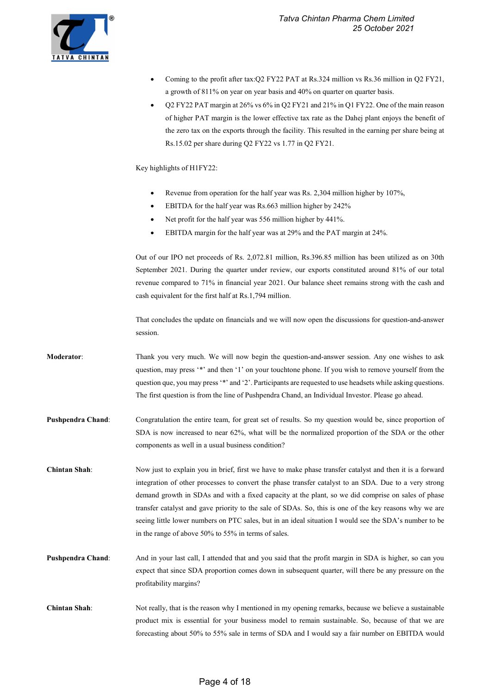Coming to the profit after tax:Q2 FY22 PAT at Rs.324 million vs Rs.36 million in Q2 FY21,



|                      | a growth of 811% on year on year basis and 40% on quarter on quarter basis.                                      |
|----------------------|------------------------------------------------------------------------------------------------------------------|
|                      | Q2 FY22 PAT margin at 26% vs 6% in Q2 FY21 and 21% in Q1 FY22. One of the main reason<br>٠                       |
|                      | of higher PAT margin is the lower effective tax rate as the Dahej plant enjoys the benefit of                    |
|                      | the zero tax on the exports through the facility. This resulted in the earning per share being at                |
|                      | Rs.15.02 per share during Q2 FY22 vs 1.77 in Q2 FY21.                                                            |
|                      | Key highlights of H1FY22:                                                                                        |
|                      | Revenue from operation for the half year was Rs. 2,304 million higher by 107%,<br>٠                              |
|                      | EBITDA for the half year was Rs.663 million higher by 242%<br>٠                                                  |
|                      | Net profit for the half year was 556 million higher by 441%.<br>٠                                                |
|                      | EBITDA margin for the half year was at 29% and the PAT margin at 24%.                                            |
|                      | Out of our IPO net proceeds of Rs. 2,072.81 million, Rs.396.85 million has been utilized as on 30th              |
|                      | September 2021. During the quarter under review, our exports constituted around 81% of our total                 |
|                      | revenue compared to 71% in financial year 2021. Our balance sheet remains strong with the cash and               |
|                      | cash equivalent for the first half at Rs.1,794 million.                                                          |
|                      | That concludes the update on financials and we will now open the discussions for question-and-answer<br>session. |
| <b>Moderator:</b>    | Thank you very much. We will now begin the question-and-answer session. Any one wishes to ask                    |
|                      | question, may press '*' and then '1' on your touchtone phone. If you wish to remove yourself from the            |
|                      | question que, you may press '*' and '2'. Participants are requested to use headsets while asking questions.      |
|                      | The first question is from the line of Pushpendra Chand, an Individual Investor. Please go ahead.                |
| Pushpendra Chand:    | Congratulation the entire team, for great set of results. So my question would be, since proportion of           |
|                      | SDA is now increased to near 62%, what will be the normalized proportion of the SDA or the other                 |
|                      | components as well in a usual business condition?                                                                |
| Chintan Shah:        | Now just to explain you in brief, first we have to make phase transfer catalyst and then it is a forward         |
|                      | integration of other processes to convert the phase transfer catalyst to an SDA. Due to a very strong            |
|                      | demand growth in SDAs and with a fixed capacity at the plant, so we did comprise on sales of phase               |
|                      | transfer catalyst and gave priority to the sale of SDAs. So, this is one of the key reasons why we are           |
|                      | seeing little lower numbers on PTC sales, but in an ideal situation I would see the SDA's number to be           |
|                      | in the range of above 50% to 55% in terms of sales.                                                              |
| Pushpendra Chand:    | And in your last call, I attended that and you said that the profit margin in SDA is higher, so can you          |
|                      | expect that since SDA proportion comes down in subsequent quarter, will there be any pressure on the             |
|                      | profitability margins?                                                                                           |
| <b>Chintan Shah:</b> | Not really, that is the reason why I mentioned in my opening remarks, because we believe a sustainable           |
|                      | product mix is essential for your business model to remain sustainable. So, because of that we are               |
|                      | forecasting about 50% to 55% sale in terms of SDA and I would say a fair number on EBITDA would                  |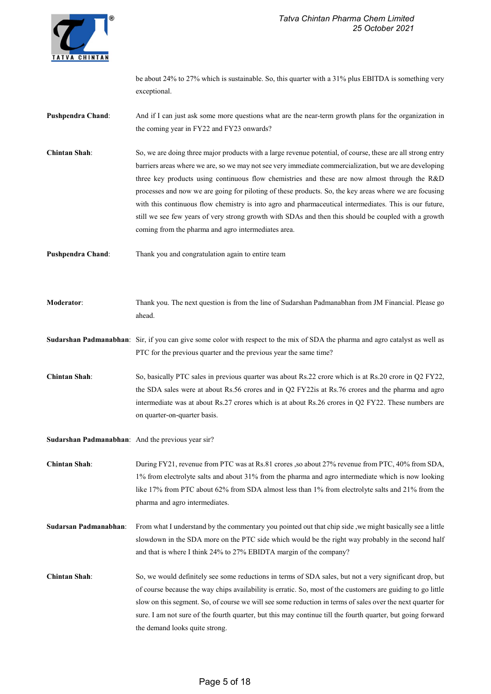be about 24% to 27% which is sustainable. So, this quarter with a 31% plus EBITDA is something very exceptional.

- **Pushpendra Chand:** And if I can just ask some more questions what are the near-term growth plans for the organization in the coming year in FY22 and FY23 onwards?
- Chintan Shah: So, we are doing three major products with a large revenue potential, of course, these are all strong entry barriers areas where we are, so we may not see very immediate commercialization, but we are developing three key products using continuous flow chemistries and these are now almost through the R&D processes and now we are going for piloting of these products. So, the key areas where we are focusing with this continuous flow chemistry is into agro and pharmaceutical intermediates. This is our future, still we see few years of very strong growth with SDAs and then this should be coupled with a growth coming from the pharma and agro intermediates area.
- Pushpendra Chand: Thank you and congratulation again to entire team
- Moderator: Thank you. The next question is from the line of Sudarshan Padmanabhan from JM Financial. Please go ahead.
- Sudarshan Padmanabhan: Sir, if you can give some color with respect to the mix of SDA the pharma and agro catalyst as well as PTC for the previous quarter and the previous year the same time?
- Chintan Shah: So, basically PTC sales in previous quarter was about Rs.22 crore which is at Rs.20 crore in Q2 FY22, the SDA sales were at about Rs.56 crores and in Q2 FY22is at Rs.76 crores and the pharma and agro intermediate was at about Rs.27 crores which is at about Rs.26 crores in Q2 FY22. These numbers are on quarter-on-quarter basis.
- Sudarshan Padmanabhan: And the previous year sir?
- Chintan Shah: During FY21, revenue from PTC was at Rs.81 crores ,so about 27% revenue from PTC, 40% from SDA, 1% from electrolyte salts and about 31% from the pharma and agro intermediate which is now looking like 17% from PTC about 62% from SDA almost less than 1% from electrolyte salts and 21% from the pharma and agro intermediates.
- Sudarsan Padmanabhan: From what I understand by the commentary you pointed out that chip side ,we might basically see a little slowdown in the SDA more on the PTC side which would be the right way probably in the second half and that is where I think 24% to 27% EBIDTA margin of the company?
- Chintan Shah: So, we would definitely see some reductions in terms of SDA sales, but not a very significant drop, but of course because the way chips availability is erratic. So, most of the customers are guiding to go little slow on this segment. So, of course we will see some reduction in terms of sales over the next quarter for sure. I am not sure of the fourth quarter, but this may continue till the fourth quarter, but going forward the demand looks quite strong.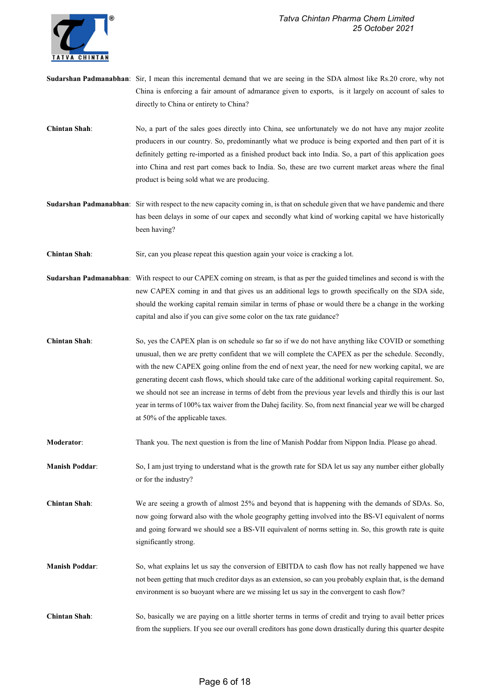

- Sudarshan Padmanabhan: Sir, I mean this incremental demand that we are seeing in the SDA almost like Rs.20 crore, why not China is enforcing a fair amount of admarance given to exports, is it largely on account of sales to directly to China or entirety to China?
- Chintan Shah: No, a part of the sales goes directly into China, see unfortunately we do not have any major zeolite producers in our country. So, predominantly what we produce is being exported and then part of it is definitely getting re-imported as a finished product back into India. So, a part of this application goes into China and rest part comes back to India. So, these are two current market areas where the final product is being sold what we are producing.
- Sudarshan Padmanabhan: Sir with respect to the new capacity coming in, is that on schedule given that we have pandemic and there has been delays in some of our capex and secondly what kind of working capital we have historically been having?
- Chintan Shah: Sir, can you please repeat this question again your voice is cracking a lot.
- Sudarshan Padmanabhan: With respect to our CAPEX coming on stream, is that as per the guided timelines and second is with the new CAPEX coming in and that gives us an additional legs to growth specifically on the SDA side, should the working capital remain similar in terms of phase or would there be a change in the working capital and also if you can give some color on the tax rate guidance?
- Chintan Shah: So, yes the CAPEX plan is on schedule so far so if we do not have anything like COVID or something unusual, then we are pretty confident that we will complete the CAPEX as per the schedule. Secondly, with the new CAPEX going online from the end of next year, the need for new working capital, we are generating decent cash flows, which should take care of the additional working capital requirement. So, we should not see an increase in terms of debt from the previous year levels and thirdly this is our last year in terms of 100% tax waiver from the Dahej facility. So, from next financial year we will be charged at 50% of the applicable taxes.
- Moderator: Thank you. The next question is from the line of Manish Poddar from Nippon India. Please go ahead.
- Manish Poddar: So, I am just trying to understand what is the growth rate for SDA let us say any number either globally or for the industry?
- Chintan Shah: We are seeing a growth of almost 25% and beyond that is happening with the demands of SDAs. So, now going forward also with the whole geography getting involved into the BS-VI equivalent of norms and going forward we should see a BS-VII equivalent of norms setting in. So, this growth rate is quite significantly strong.
- Manish Poddar: So, what explains let us say the conversion of EBITDA to cash flow has not really happened we have not been getting that much creditor days as an extension, so can you probably explain that, is the demand environment is so buoyant where are we missing let us say in the convergent to cash flow?
- Chintan Shah: So, basically we are paying on a little shorter terms in terms of credit and trying to avail better prices from the suppliers. If you see our overall creditors has gone down drastically during this quarter despite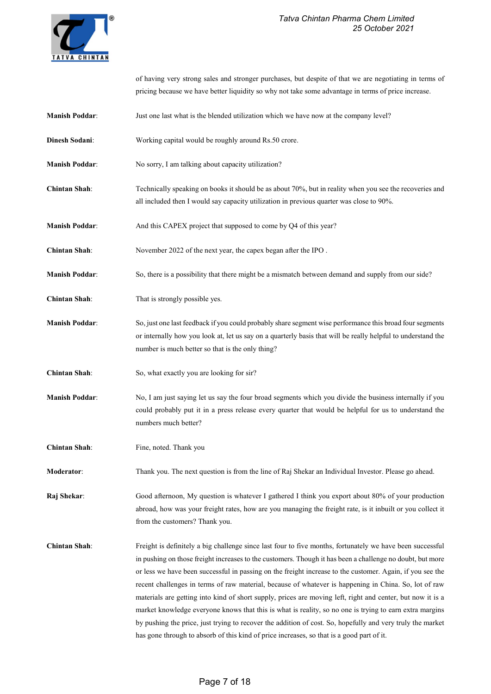

of having very strong sales and stronger purchases, but despite of that we are negotiating in terms of pricing because we have better liquidity so why not take some advantage in terms of price increase.

- Manish Poddar: Just one last what is the blended utilization which we have now at the company level?
- Dinesh Sodani: Working capital would be roughly around Rs.50 crore.
- Manish Poddar: No sorry, I am talking about capacity utilization?
- Chintan Shah: Technically speaking on books it should be as about 70%, but in reality when you see the recoveries and all included then I would say capacity utilization in previous quarter was close to 90%.
- Manish Poddar: And this CAPEX project that supposed to come by Q4 of this year?
- Chintan Shah: November 2022 of the next year, the capex began after the IPO .
- Manish Poddar: So, there is a possibility that there might be a mismatch between demand and supply from our side?
- Chintan Shah: That is strongly possible yes.
- Manish Poddar: So, just one last feedback if you could probably share segment wise performance this broad four segments or internally how you look at, let us say on a quarterly basis that will be really helpful to understand the number is much better so that is the only thing?
- Chintan Shah: So, what exactly you are looking for sir?
- Manish Poddar: No, I am just saying let us say the four broad segments which you divide the business internally if you could probably put it in a press release every quarter that would be helpful for us to understand the numbers much better?
- Chintan Shah: Fine, noted. Thank you

Moderator: Thank you. The next question is from the line of Raj Shekar an Individual Investor. Please go ahead.

Raj Shekar: Good afternoon, My question is whatever I gathered I think you export about 80% of your production abroad, how was your freight rates, how are you managing the freight rate, is it inbuilt or you collect it from the customers? Thank you.

Chintan Shah: Freight is definitely a big challenge since last four to five months, fortunately we have been successful in pushing on those freight increases to the customers. Though it has been a challenge no doubt, but more or less we have been successful in passing on the freight increase to the customer. Again, if you see the recent challenges in terms of raw material, because of whatever is happening in China. So, lot of raw materials are getting into kind of short supply, prices are moving left, right and center, but now it is a market knowledge everyone knows that this is what is reality, so no one is trying to earn extra margins by pushing the price, just trying to recover the addition of cost. So, hopefully and very truly the market has gone through to absorb of this kind of price increases, so that is a good part of it.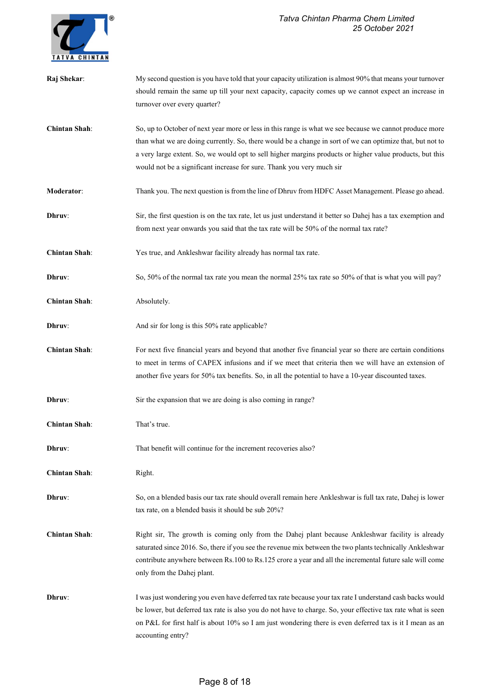

| Raj Shekar:          | My second question is you have told that your capacity utilization is almost 90% that means your turnover     |
|----------------------|---------------------------------------------------------------------------------------------------------------|
|                      | should remain the same up till your next capacity, capacity comes up we cannot expect an increase in          |
|                      | turnover over every quarter?                                                                                  |
|                      |                                                                                                               |
| <b>Chintan Shah:</b> | So, up to October of next year more or less in this range is what we see because we cannot produce more       |
|                      | than what we are doing currently. So, there would be a change in sort of we can optimize that, but not to     |
|                      | a very large extent. So, we would opt to sell higher margins products or higher value products, but this      |
|                      |                                                                                                               |
|                      | would not be a significant increase for sure. Thank you very much sir                                         |
| Moderator:           | Thank you. The next question is from the line of Dhruv from HDFC Asset Management. Please go ahead.           |
|                      |                                                                                                               |
| Dhruv:               | Sir, the first question is on the tax rate, let us just understand it better so Dahej has a tax exemption and |
|                      | from next year onwards you said that the tax rate will be 50% of the normal tax rate?                         |
| <b>Chintan Shah:</b> | Yes true, and Ankleshwar facility already has normal tax rate.                                                |
|                      |                                                                                                               |
| Dhruv:               | So, 50% of the normal tax rate you mean the normal 25% tax rate so 50% of that is what you will pay?          |
| <b>Chintan Shah:</b> | Absolutely.                                                                                                   |
|                      |                                                                                                               |
| Dhruv:               | And sir for long is this 50% rate applicable?                                                                 |
|                      |                                                                                                               |
| <b>Chintan Shah:</b> | For next five financial years and beyond that another five financial year so there are certain conditions     |
|                      | to meet in terms of CAPEX infusions and if we meet that criteria then we will have an extension of            |
|                      | another five years for 50% tax benefits. So, in all the potential to have a 10-year discounted taxes.         |
|                      |                                                                                                               |
| Dhruv:               | Sir the expansion that we are doing is also coming in range?                                                  |
|                      |                                                                                                               |
| <b>Chintan Shah:</b> | That's true.                                                                                                  |
|                      |                                                                                                               |
| Dhruv:               | That benefit will continue for the increment recoveries also?                                                 |
| <b>Chintan Shah:</b> |                                                                                                               |
|                      | Right.                                                                                                        |
| Dhruv:               | So, on a blended basis our tax rate should overall remain here Ankleshwar is full tax rate, Dahej is lower    |
|                      | tax rate, on a blended basis it should be sub 20%?                                                            |
|                      |                                                                                                               |
| <b>Chintan Shah:</b> | Right sir, The growth is coming only from the Dahej plant because Ankleshwar facility is already              |
|                      | saturated since 2016. So, there if you see the revenue mix between the two plants technically Ankleshwar      |
|                      | contribute anywhere between Rs.100 to Rs.125 crore a year and all the incremental future sale will come       |
|                      |                                                                                                               |
|                      | only from the Dahej plant.                                                                                    |
| Dhruv:               | I was just wondering you even have deferred tax rate because your tax rate I understand cash backs would      |
|                      | be lower, but deferred tax rate is also you do not have to charge. So, your effective tax rate what is seen   |
|                      | on P&L for first half is about 10% so I am just wondering there is even deferred tax is it I mean as an       |
|                      |                                                                                                               |
|                      | accounting entry?                                                                                             |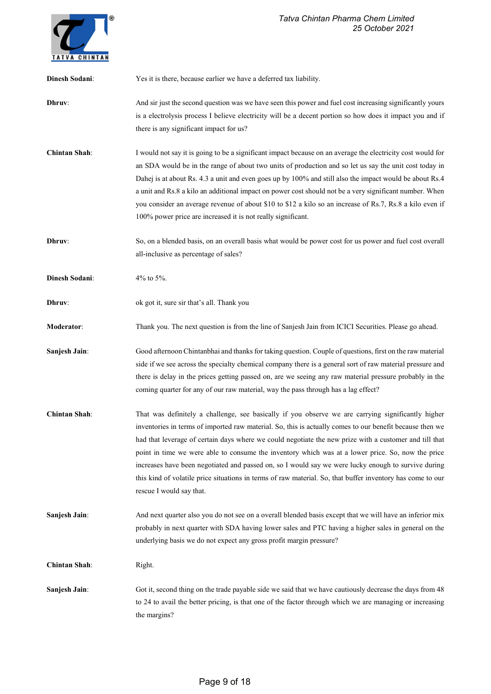

| <b>Dinesh Sodani:</b> | Yes it is there, because earlier we have a deferred tax liability.                                                                                                                                                                                                                                                                                                                                                                                                                                                                                                                                                                                                             |
|-----------------------|--------------------------------------------------------------------------------------------------------------------------------------------------------------------------------------------------------------------------------------------------------------------------------------------------------------------------------------------------------------------------------------------------------------------------------------------------------------------------------------------------------------------------------------------------------------------------------------------------------------------------------------------------------------------------------|
| Dhruv:                | And sir just the second question was we have seen this power and fuel cost increasing significantly yours<br>is a electrolysis process I believe electricity will be a decent portion so how does it impact you and if<br>there is any significant impact for us?                                                                                                                                                                                                                                                                                                                                                                                                              |
| <b>Chintan Shah:</b>  | I would not say it is going to be a significant impact because on an average the electricity cost would for<br>an SDA would be in the range of about two units of production and so let us say the unit cost today in<br>Dahej is at about Rs. 4.3 a unit and even goes up by 100% and still also the impact would be about Rs. 4<br>a unit and Rs.8 a kilo an additional impact on power cost should not be a very significant number. When<br>you consider an average revenue of about \$10 to \$12 a kilo so an increase of Rs.7, Rs.8 a kilo even if<br>100% power price are increased it is not really significant.                                                       |
| Dhruv:                | So, on a blended basis, on an overall basis what would be power cost for us power and fuel cost overall<br>all-inclusive as percentage of sales?                                                                                                                                                                                                                                                                                                                                                                                                                                                                                                                               |
| <b>Dinesh Sodani:</b> | 4% to 5%.                                                                                                                                                                                                                                                                                                                                                                                                                                                                                                                                                                                                                                                                      |
| Dhruv:                | ok got it, sure sir that's all. Thank you                                                                                                                                                                                                                                                                                                                                                                                                                                                                                                                                                                                                                                      |
| Moderator:            | Thank you. The next question is from the line of Sanjesh Jain from ICICI Securities. Please go ahead.                                                                                                                                                                                                                                                                                                                                                                                                                                                                                                                                                                          |
| Sanjesh Jain:         | Good afternoon Chintanbhai and thanks for taking question. Couple of questions, first on the raw material<br>side if we see across the specialty chemical company there is a general sort of raw material pressure and<br>there is delay in the prices getting passed on, are we seeing any raw material pressure probably in the<br>coming quarter for any of our raw material, way the pass through has a lag effect?                                                                                                                                                                                                                                                        |
| <b>Chintan Shah:</b>  | That was definitely a challenge, see basically if you observe we are carrying significantly higher<br>inventories in terms of imported raw material. So, this is actually comes to our benefit because then we<br>had that leverage of certain days where we could negotiate the new prize with a customer and till that<br>point in time we were able to consume the inventory which was at a lower price. So, now the price<br>increases have been negotiated and passed on, so I would say we were lucky enough to survive during<br>this kind of volatile price situations in terms of raw material. So, that buffer inventory has come to our<br>rescue I would say that. |
| <b>Sanjesh Jain:</b>  | And next quarter also you do not see on a overall blended basis except that we will have an inferior mix<br>probably in next quarter with SDA having lower sales and PTC having a higher sales in general on the<br>underlying basis we do not expect any gross profit margin pressure?                                                                                                                                                                                                                                                                                                                                                                                        |
| <b>Chintan Shah:</b>  | Right.                                                                                                                                                                                                                                                                                                                                                                                                                                                                                                                                                                                                                                                                         |
| Sanjesh Jain:         | Got it, second thing on the trade payable side we said that we have cautiously decrease the days from 48<br>to 24 to avail the better pricing, is that one of the factor through which we are managing or increasing<br>the margins?                                                                                                                                                                                                                                                                                                                                                                                                                                           |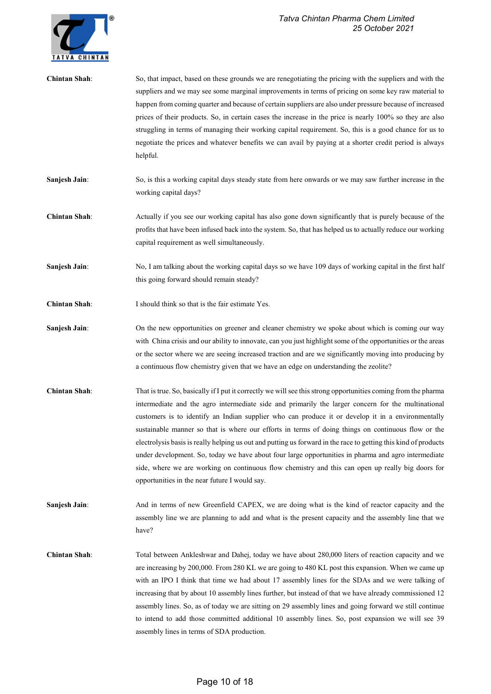

| <b>Chintan Shah:</b> | So, that impact, based on these grounds we are renegotiating the pricing with the suppliers and with the<br>suppliers and we may see some marginal improvements in terms of pricing on some key raw material to<br>happen from coming quarter and because of certain suppliers are also under pressure because of increased<br>prices of their products. So, in certain cases the increase in the price is nearly 100% so they are also<br>struggling in terms of managing their working capital requirement. So, this is a good chance for us to<br>negotiate the prices and whatever benefits we can avail by paying at a shorter credit period is always<br>helpful.                                                                                                                                         |
|----------------------|-----------------------------------------------------------------------------------------------------------------------------------------------------------------------------------------------------------------------------------------------------------------------------------------------------------------------------------------------------------------------------------------------------------------------------------------------------------------------------------------------------------------------------------------------------------------------------------------------------------------------------------------------------------------------------------------------------------------------------------------------------------------------------------------------------------------|
| Sanjesh Jain:        | So, is this a working capital days steady state from here onwards or we may saw further increase in the<br>working capital days?                                                                                                                                                                                                                                                                                                                                                                                                                                                                                                                                                                                                                                                                                |
| <b>Chintan Shah:</b> | Actually if you see our working capital has also gone down significantly that is purely because of the<br>profits that have been infused back into the system. So, that has helped us to actually reduce our working<br>capital requirement as well simultaneously.                                                                                                                                                                                                                                                                                                                                                                                                                                                                                                                                             |
| Sanjesh Jain:        | No, I am talking about the working capital days so we have 109 days of working capital in the first half<br>this going forward should remain steady?                                                                                                                                                                                                                                                                                                                                                                                                                                                                                                                                                                                                                                                            |
| <b>Chintan Shah:</b> | I should think so that is the fair estimate Yes.                                                                                                                                                                                                                                                                                                                                                                                                                                                                                                                                                                                                                                                                                                                                                                |
| Sanjesh Jain:        | On the new opportunities on greener and cleaner chemistry we spoke about which is coming our way<br>with China crisis and our ability to innovate, can you just highlight some of the opportunities or the areas<br>or the sector where we are seeing increased traction and are we significantly moving into producing by<br>a continuous flow chemistry given that we have an edge on understanding the zeolite?                                                                                                                                                                                                                                                                                                                                                                                              |
| <b>Chintan Shah:</b> | That is true. So, basically if I put it correctly we will see this strong opportunities coming from the pharma<br>intermediate and the agro intermediate side and primarily the larger concern for the multinational<br>customers is to identify an Indian supplier who can produce it or develop it in a environmentally<br>sustainable manner so that is where our efforts in terms of doing things on continuous flow or the<br>electrolysis basis is really helping us out and putting us forward in the race to getting this kind of products<br>under development. So, today we have about four large opportunities in pharma and agro intermediate<br>side, where we are working on continuous flow chemistry and this can open up really big doors for<br>opportunities in the near future I would say. |
| Sanjesh Jain:        | And in terms of new Greenfield CAPEX, we are doing what is the kind of reactor capacity and the<br>assembly line we are planning to add and what is the present capacity and the assembly line that we<br>have?                                                                                                                                                                                                                                                                                                                                                                                                                                                                                                                                                                                                 |
| <b>Chintan Shah:</b> | Total between Ankleshwar and Dahej, today we have about 280,000 liters of reaction capacity and we<br>are increasing by 200,000. From 280 KL we are going to 480 KL post this expansion. When we came up<br>with an IPO I think that time we had about 17 assembly lines for the SDAs and we were talking of<br>increasing that by about 10 assembly lines further, but instead of that we have already commissioned 12<br>assembly lines. So, as of today we are sitting on 29 assembly lines and going forward we still continue<br>to intend to add those committed additional 10 assembly lines. So, post expansion we will see 39<br>assembly lines in terms of SDA production.                                                                                                                            |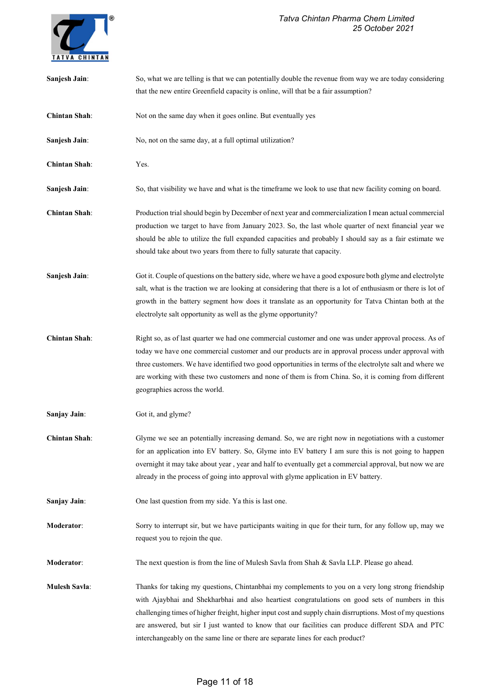### Tatva Chintan Pharma Chem Limited 25 October 2021



| Sanjesh Jain:        | So, what we are telling is that we can potentially double the revenue from way we are today considering                                                                                                                                                                                                                                                                                                                                                                                                     |
|----------------------|-------------------------------------------------------------------------------------------------------------------------------------------------------------------------------------------------------------------------------------------------------------------------------------------------------------------------------------------------------------------------------------------------------------------------------------------------------------------------------------------------------------|
|                      | that the new entire Greenfield capacity is online, will that be a fair assumption?                                                                                                                                                                                                                                                                                                                                                                                                                          |
| <b>Chintan Shah:</b> | Not on the same day when it goes online. But eventually yes                                                                                                                                                                                                                                                                                                                                                                                                                                                 |
| Sanjesh Jain:        | No, not on the same day, at a full optimal utilization?                                                                                                                                                                                                                                                                                                                                                                                                                                                     |
| <b>Chintan Shah:</b> | Yes.                                                                                                                                                                                                                                                                                                                                                                                                                                                                                                        |
| Sanjesh Jain:        | So, that visibility we have and what is the timeframe we look to use that new facility coming on board.                                                                                                                                                                                                                                                                                                                                                                                                     |
| <b>Chintan Shah:</b> | Production trial should begin by December of next year and commercialization I mean actual commercial<br>production we target to have from January 2023. So, the last whole quarter of next financial year we<br>should be able to utilize the full expanded capacities and probably I should say as a fair estimate we<br>should take about two years from there to fully saturate that capacity.                                                                                                          |
| Sanjesh Jain:        | Got it. Couple of questions on the battery side, where we have a good exposure both glyme and electrolyte<br>salt, what is the traction we are looking at considering that there is a lot of enthusiasm or there is lot of<br>growth in the battery segment how does it translate as an opportunity for Tatva Chintan both at the<br>electrolyte salt opportunity as well as the glyme opportunity?                                                                                                         |
| <b>Chintan Shah:</b> | Right so, as of last quarter we had one commercial customer and one was under approval process. As of<br>today we have one commercial customer and our products are in approval process under approval with<br>three customers. We have identified two good opportunities in terms of the electrolyte salt and where we<br>are working with these two customers and none of them is from China. So, it is coming from different<br>geographies across the world.                                            |
| Sanjay Jain:         | Got it, and glyme?                                                                                                                                                                                                                                                                                                                                                                                                                                                                                          |
| <b>Chintan Shah:</b> | Glyme we see an potentially increasing demand. So, we are right now in negotiations with a customer<br>for an application into EV battery. So, Glyme into EV battery I am sure this is not going to happen<br>overnight it may take about year, year and half to eventually get a commercial approval, but now we are<br>already in the process of going into approval with glyme application in EV battery.                                                                                                |
| Sanjay Jain:         | One last question from my side. Ya this is last one.                                                                                                                                                                                                                                                                                                                                                                                                                                                        |
| Moderator:           | Sorry to interrupt sir, but we have participants waiting in que for their turn, for any follow up, may we<br>request you to rejoin the que.                                                                                                                                                                                                                                                                                                                                                                 |
| Moderator:           | The next question is from the line of Mulesh Savla from Shah & Savla LLP. Please go ahead.                                                                                                                                                                                                                                                                                                                                                                                                                  |
| <b>Mulesh Savla:</b> | Thanks for taking my questions, Chintanbhai my complements to you on a very long strong friendship<br>with Ajaybhai and Shekharbhai and also heartiest congratulations on good sets of numbers in this<br>challenging times of higher freight, higher input cost and supply chain disrruptions. Most of my questions<br>are answered, but sir I just wanted to know that our facilities can produce different SDA and PTC<br>interchangeably on the same line or there are separate lines for each product? |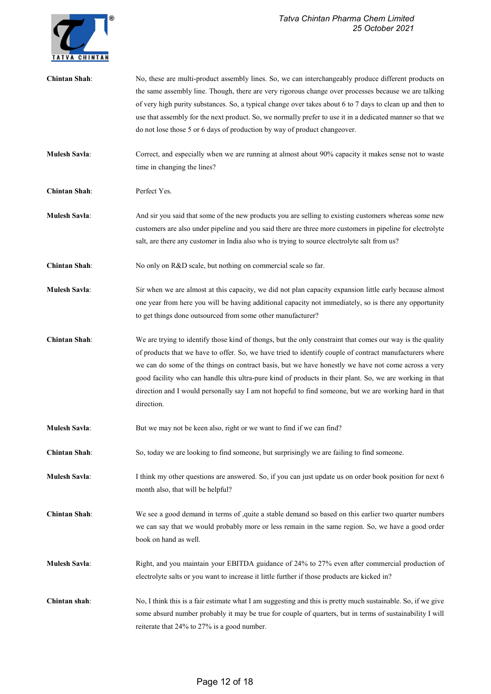### Tatva Chintan Pharma Chem Limited 25 October 2021



| <b>Chintan Shah:</b> | No, these are multi-product assembly lines. So, we can interchangeably produce different products on<br>the same assembly line. Though, there are very rigorous change over processes because we are talking<br>of very high purity substances. So, a typical change over takes about 6 to 7 days to clean up and then to<br>use that assembly for the next product. So, we normally prefer to use it in a dedicated manner so that we<br>do not lose those 5 or 6 days of production by way of product changeover.                                             |
|----------------------|-----------------------------------------------------------------------------------------------------------------------------------------------------------------------------------------------------------------------------------------------------------------------------------------------------------------------------------------------------------------------------------------------------------------------------------------------------------------------------------------------------------------------------------------------------------------|
| <b>Mulesh Savla:</b> | Correct, and especially when we are running at almost about 90% capacity it makes sense not to waste<br>time in changing the lines?                                                                                                                                                                                                                                                                                                                                                                                                                             |
| <b>Chintan Shah:</b> | Perfect Yes.                                                                                                                                                                                                                                                                                                                                                                                                                                                                                                                                                    |
| <b>Mulesh Savla:</b> | And sir you said that some of the new products you are selling to existing customers whereas some new<br>customers are also under pipeline and you said there are three more customers in pipeline for electrolyte<br>salt, are there any customer in India also who is trying to source electrolyte salt from us?                                                                                                                                                                                                                                              |
| <b>Chintan Shah:</b> | No only on R&D scale, but nothing on commercial scale so far.                                                                                                                                                                                                                                                                                                                                                                                                                                                                                                   |
| <b>Mulesh Savla:</b> | Sir when we are almost at this capacity, we did not plan capacity expansion little early because almost<br>one year from here you will be having additional capacity not immediately, so is there any opportunity<br>to get things done outsourced from some other manufacturer?                                                                                                                                                                                                                                                                                |
| <b>Chintan Shah:</b> | We are trying to identify those kind of thongs, but the only constraint that comes our way is the quality<br>of products that we have to offer. So, we have tried to identify couple of contract manufacturers where<br>we can do some of the things on contract basis, but we have honestly we have not come across a very<br>good facility who can handle this ultra-pure kind of products in their plant. So, we are working in that<br>direction and I would personally say I am not hopeful to find someone, but we are working hard in that<br>direction. |
| <b>Mulesh Savla:</b> | But we may not be keen also, right or we want to find if we can find?                                                                                                                                                                                                                                                                                                                                                                                                                                                                                           |
| <b>Chintan Shah:</b> | So, today we are looking to find someone, but surprisingly we are failing to find someone.                                                                                                                                                                                                                                                                                                                                                                                                                                                                      |
| <b>Mulesh Savla:</b> | I think my other questions are answered. So, if you can just update us on order book position for next 6<br>month also, that will be helpful?                                                                                                                                                                                                                                                                                                                                                                                                                   |
| <b>Chintan Shah:</b> | We see a good demand in terms of , quite a stable demand so based on this earlier two quarter numbers<br>we can say that we would probably more or less remain in the same region. So, we have a good order<br>book on hand as well.                                                                                                                                                                                                                                                                                                                            |
| <b>Mulesh Savla:</b> | Right, and you maintain your EBITDA guidance of 24% to 27% even after commercial production of<br>electrolyte salts or you want to increase it little further if those products are kicked in?                                                                                                                                                                                                                                                                                                                                                                  |
| Chintan shah:        | No, I think this is a fair estimate what I am suggesting and this is pretty much sustainable. So, if we give<br>some absurd number probably it may be true for couple of quarters, but in terms of sustainability I will<br>reiterate that 24% to 27% is a good number.                                                                                                                                                                                                                                                                                         |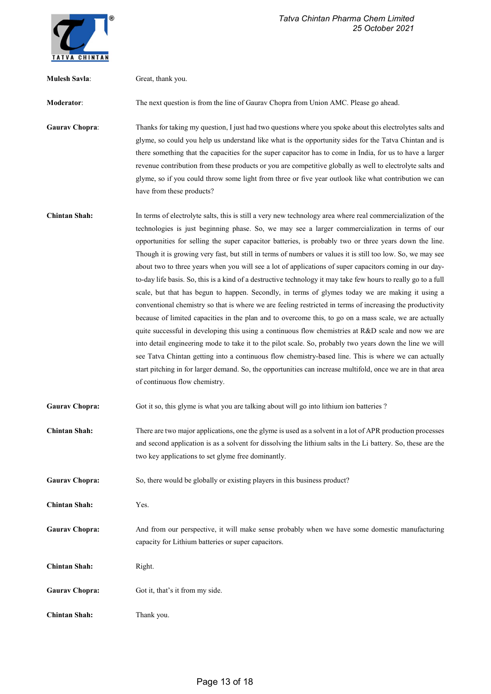

| <b>Mulesh Savla:</b>  | Great, thank you.                                                                                                                                                                                                                                                                                                                                                                                                                                                                                                                                                                                                                                                                                                                                                                                                                                                                                                                                                                                                                                                                                                                                                                                                                                                                                                                                                                                                                                                          |
|-----------------------|----------------------------------------------------------------------------------------------------------------------------------------------------------------------------------------------------------------------------------------------------------------------------------------------------------------------------------------------------------------------------------------------------------------------------------------------------------------------------------------------------------------------------------------------------------------------------------------------------------------------------------------------------------------------------------------------------------------------------------------------------------------------------------------------------------------------------------------------------------------------------------------------------------------------------------------------------------------------------------------------------------------------------------------------------------------------------------------------------------------------------------------------------------------------------------------------------------------------------------------------------------------------------------------------------------------------------------------------------------------------------------------------------------------------------------------------------------------------------|
| Moderator:            | The next question is from the line of Gaurav Chopra from Union AMC. Please go ahead.                                                                                                                                                                                                                                                                                                                                                                                                                                                                                                                                                                                                                                                                                                                                                                                                                                                                                                                                                                                                                                                                                                                                                                                                                                                                                                                                                                                       |
| <b>Gaurav Chopra:</b> | Thanks for taking my question, I just had two questions where you spoke about this electrolytes salts and<br>glyme, so could you help us understand like what is the opportunity sides for the Tatva Chintan and is<br>there something that the capacities for the super capacitor has to come in India, for us to have a larger<br>revenue contribution from these products or you are competitive globally as well to electrolyte salts and<br>glyme, so if you could throw some light from three or five year outlook like what contribution we can<br>have from these products?                                                                                                                                                                                                                                                                                                                                                                                                                                                                                                                                                                                                                                                                                                                                                                                                                                                                                        |
| <b>Chintan Shah:</b>  | In terms of electrolyte salts, this is still a very new technology area where real commercialization of the<br>technologies is just beginning phase. So, we may see a larger commercialization in terms of our<br>opportunities for selling the super capacitor batteries, is probably two or three years down the line.<br>Though it is growing very fast, but still in terms of numbers or values it is still too low. So, we may see<br>about two to three years when you will see a lot of applications of super capacitors coming in our day-<br>to-day life basis. So, this is a kind of a destructive technology it may take few hours to really go to a full<br>scale, but that has begun to happen. Secondly, in terms of glymes today we are making it using a<br>conventional chemistry so that is where we are feeling restricted in terms of increasing the productivity<br>because of limited capacities in the plan and to overcome this, to go on a mass scale, we are actually<br>quite successful in developing this using a continuous flow chemistries at R&D scale and now we are<br>into detail engineering mode to take it to the pilot scale. So, probably two years down the line we will<br>see Tatva Chintan getting into a continuous flow chemistry-based line. This is where we can actually<br>start pitching in for larger demand. So, the opportunities can increase multifold, once we are in that area<br>of continuous flow chemistry. |
| <b>Gaurav Chopra:</b> | Got it so, this glyme is what you are talking about will go into lithium ion batteries ?                                                                                                                                                                                                                                                                                                                                                                                                                                                                                                                                                                                                                                                                                                                                                                                                                                                                                                                                                                                                                                                                                                                                                                                                                                                                                                                                                                                   |
| <b>Chintan Shah:</b>  | There are two major applications, one the glyme is used as a solvent in a lot of APR production processes<br>and second application is as a solvent for dissolving the lithium salts in the Li battery. So, these are the<br>two key applications to set glyme free dominantly.                                                                                                                                                                                                                                                                                                                                                                                                                                                                                                                                                                                                                                                                                                                                                                                                                                                                                                                                                                                                                                                                                                                                                                                            |
| <b>Gaurav Chopra:</b> | So, there would be globally or existing players in this business product?                                                                                                                                                                                                                                                                                                                                                                                                                                                                                                                                                                                                                                                                                                                                                                                                                                                                                                                                                                                                                                                                                                                                                                                                                                                                                                                                                                                                  |
| <b>Chintan Shah:</b>  | Yes.                                                                                                                                                                                                                                                                                                                                                                                                                                                                                                                                                                                                                                                                                                                                                                                                                                                                                                                                                                                                                                                                                                                                                                                                                                                                                                                                                                                                                                                                       |
| <b>Gaurav Chopra:</b> | And from our perspective, it will make sense probably when we have some domestic manufacturing<br>capacity for Lithium batteries or super capacitors.                                                                                                                                                                                                                                                                                                                                                                                                                                                                                                                                                                                                                                                                                                                                                                                                                                                                                                                                                                                                                                                                                                                                                                                                                                                                                                                      |
| <b>Chintan Shah:</b>  | Right.                                                                                                                                                                                                                                                                                                                                                                                                                                                                                                                                                                                                                                                                                                                                                                                                                                                                                                                                                                                                                                                                                                                                                                                                                                                                                                                                                                                                                                                                     |
| <b>Gaurav Chopra:</b> | Got it, that's it from my side.                                                                                                                                                                                                                                                                                                                                                                                                                                                                                                                                                                                                                                                                                                                                                                                                                                                                                                                                                                                                                                                                                                                                                                                                                                                                                                                                                                                                                                            |
| <b>Chintan Shah:</b>  | Thank you.                                                                                                                                                                                                                                                                                                                                                                                                                                                                                                                                                                                                                                                                                                                                                                                                                                                                                                                                                                                                                                                                                                                                                                                                                                                                                                                                                                                                                                                                 |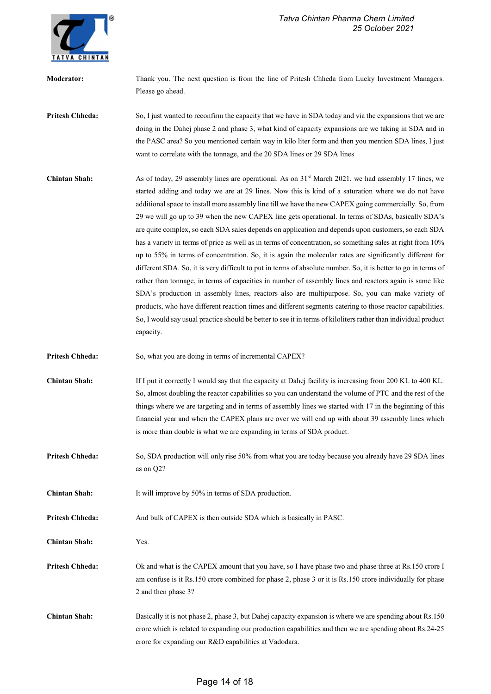

| <b>Moderator:</b>      | Thank you. The next question is from the line of Pritesh Chheda from Lucky Investment Managers.<br>Please go ahead.                                                                                                                                                                                                                                                                                                                                                                                                                                                                                                                                                                                                                                                                                                                                                                                                                                                                                                                                                                                                                                                                                                                                                                                                                        |
|------------------------|--------------------------------------------------------------------------------------------------------------------------------------------------------------------------------------------------------------------------------------------------------------------------------------------------------------------------------------------------------------------------------------------------------------------------------------------------------------------------------------------------------------------------------------------------------------------------------------------------------------------------------------------------------------------------------------------------------------------------------------------------------------------------------------------------------------------------------------------------------------------------------------------------------------------------------------------------------------------------------------------------------------------------------------------------------------------------------------------------------------------------------------------------------------------------------------------------------------------------------------------------------------------------------------------------------------------------------------------|
| <b>Pritesh Chheda:</b> | So, I just wanted to reconfirm the capacity that we have in SDA today and via the expansions that we are<br>doing in the Dahej phase 2 and phase 3, what kind of capacity expansions are we taking in SDA and in<br>the PASC area? So you mentioned certain way in kilo liter form and then you mention SDA lines, I just<br>want to correlate with the tonnage, and the 20 SDA lines or 29 SDA lines                                                                                                                                                                                                                                                                                                                                                                                                                                                                                                                                                                                                                                                                                                                                                                                                                                                                                                                                      |
| <b>Chintan Shah:</b>   | As of today, 29 assembly lines are operational. As on $31st$ March 2021, we had assembly 17 lines, we<br>started adding and today we are at 29 lines. Now this is kind of a saturation where we do not have<br>additional space to install more assembly line till we have the new CAPEX going commercially. So, from<br>29 we will go up to 39 when the new CAPEX line gets operational. In terms of SDAs, basically SDA's<br>are quite complex, so each SDA sales depends on application and depends upon customers, so each SDA<br>has a variety in terms of price as well as in terms of concentration, so something sales at right from 10%<br>up to 55% in terms of concentration. So, it is again the molecular rates are significantly different for<br>different SDA. So, it is very difficult to put in terms of absolute number. So, it is better to go in terms of<br>rather than tonnage, in terms of capacities in number of assembly lines and reactors again is same like<br>SDA's production in assembly lines, reactors also are multipurpose. So, you can make variety of<br>products, who have different reaction times and different segments catering to those reactor capabilities.<br>So, I would say usual practice should be better to see it in terms of kiloliters rather than individual product<br>capacity. |
| <b>Pritesh Chheda:</b> | So, what you are doing in terms of incremental CAPEX?                                                                                                                                                                                                                                                                                                                                                                                                                                                                                                                                                                                                                                                                                                                                                                                                                                                                                                                                                                                                                                                                                                                                                                                                                                                                                      |
| <b>Chintan Shah:</b>   | If I put it correctly I would say that the capacity at Dahej facility is increasing from 200 KL to 400 KL.<br>So, almost doubling the reactor capabilities so you can understand the volume of PTC and the rest of the<br>things where we are targeting and in terms of assembly lines we started with 17 in the beginning of this<br>financial year and when the CAPEX plans are over we will end up with about 39 assembly lines which<br>is more than double is what we are expanding in terms of SDA product.                                                                                                                                                                                                                                                                                                                                                                                                                                                                                                                                                                                                                                                                                                                                                                                                                          |
| <b>Pritesh Chheda:</b> | So, SDA production will only rise 50% from what you are today because you already have 29 SDA lines<br>as on Q2?                                                                                                                                                                                                                                                                                                                                                                                                                                                                                                                                                                                                                                                                                                                                                                                                                                                                                                                                                                                                                                                                                                                                                                                                                           |
| <b>Chintan Shah:</b>   | It will improve by 50% in terms of SDA production.                                                                                                                                                                                                                                                                                                                                                                                                                                                                                                                                                                                                                                                                                                                                                                                                                                                                                                                                                                                                                                                                                                                                                                                                                                                                                         |
| <b>Pritesh Chheda:</b> | And bulk of CAPEX is then outside SDA which is basically in PASC.                                                                                                                                                                                                                                                                                                                                                                                                                                                                                                                                                                                                                                                                                                                                                                                                                                                                                                                                                                                                                                                                                                                                                                                                                                                                          |
| <b>Chintan Shah:</b>   | Yes.                                                                                                                                                                                                                                                                                                                                                                                                                                                                                                                                                                                                                                                                                                                                                                                                                                                                                                                                                                                                                                                                                                                                                                                                                                                                                                                                       |
| <b>Pritesh Chheda:</b> | Ok and what is the CAPEX amount that you have, so I have phase two and phase three at Rs.150 crore I<br>am confuse is it Rs.150 crore combined for phase 2, phase 3 or it is Rs.150 crore individually for phase<br>2 and then phase 3?                                                                                                                                                                                                                                                                                                                                                                                                                                                                                                                                                                                                                                                                                                                                                                                                                                                                                                                                                                                                                                                                                                    |
| <b>Chintan Shah:</b>   | Basically it is not phase 2, phase 3, but Dahej capacity expansion is where we are spending about Rs.150<br>crore which is related to expanding our production capabilities and then we are spending about Rs.24-25<br>crore for expanding our R&D capabilities at Vadodara.                                                                                                                                                                                                                                                                                                                                                                                                                                                                                                                                                                                                                                                                                                                                                                                                                                                                                                                                                                                                                                                               |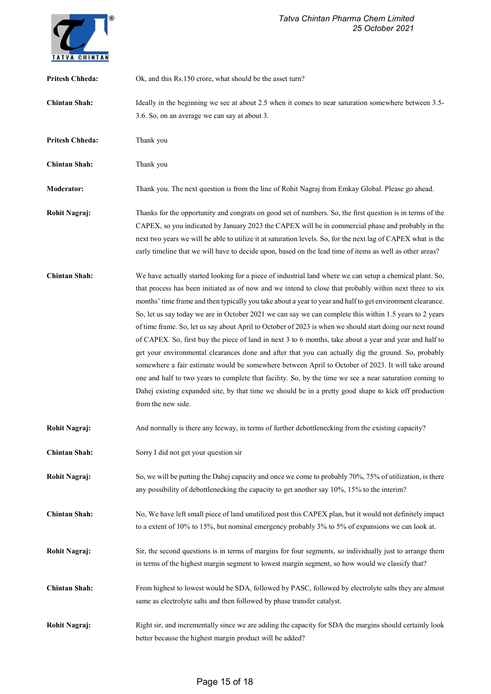

| <b>Pritesh Chheda:</b> | Ok, and this Rs.150 crore, what should be the asset turn?                                                                                                                                                                                                                                                                                                                                                                                                                                                                                                                                                                                                                                                                                                                                                                                                                                                                                                                                                                                                                                                                   |
|------------------------|-----------------------------------------------------------------------------------------------------------------------------------------------------------------------------------------------------------------------------------------------------------------------------------------------------------------------------------------------------------------------------------------------------------------------------------------------------------------------------------------------------------------------------------------------------------------------------------------------------------------------------------------------------------------------------------------------------------------------------------------------------------------------------------------------------------------------------------------------------------------------------------------------------------------------------------------------------------------------------------------------------------------------------------------------------------------------------------------------------------------------------|
| <b>Chintan Shah:</b>   | Ideally in the beginning we see at about 2.5 when it comes to near saturation somewhere between 3.5-<br>3.6. So, on an average we can say at about 3.                                                                                                                                                                                                                                                                                                                                                                                                                                                                                                                                                                                                                                                                                                                                                                                                                                                                                                                                                                       |
| <b>Pritesh Chheda:</b> | Thank you                                                                                                                                                                                                                                                                                                                                                                                                                                                                                                                                                                                                                                                                                                                                                                                                                                                                                                                                                                                                                                                                                                                   |
| <b>Chintan Shah:</b>   | Thank you                                                                                                                                                                                                                                                                                                                                                                                                                                                                                                                                                                                                                                                                                                                                                                                                                                                                                                                                                                                                                                                                                                                   |
| <b>Moderator:</b>      | Thank you. The next question is from the line of Rohit Nagraj from Emkay Global. Please go ahead.                                                                                                                                                                                                                                                                                                                                                                                                                                                                                                                                                                                                                                                                                                                                                                                                                                                                                                                                                                                                                           |
| Rohit Nagraj:          | Thanks for the opportunity and congrats on good set of numbers. So, the first question is in terms of the<br>CAPEX, so you indicated by January 2023 the CAPEX will be in commercial phase and probably in the<br>next two years we will be able to utilize it at saturation levels. So, for the next lag of CAPEX what is the<br>early timeline that we will have to decide upon, based on the lead time of items as well as other areas?                                                                                                                                                                                                                                                                                                                                                                                                                                                                                                                                                                                                                                                                                  |
| <b>Chintan Shah:</b>   | We have actually started looking for a piece of industrial land where we can setup a chemical plant. So,<br>that process has been initiated as of now and we intend to close that probably within next three to six<br>months' time frame and then typically you take about a year to year and half to get environment clearance.<br>So, let us say today we are in October 2021 we can say we can complete this within 1.5 years to 2 years<br>of time frame. So, let us say about April to October of 2023 is when we should start doing our next round<br>of CAPEX. So, first buy the piece of land in next 3 to 6 months, take about a year and year and half to<br>get your environmental clearances done and after that you can actually dig the ground. So, probably<br>somewhere a fair estimate would be somewhere between April to October of 2023. It will take around<br>one and half to two years to complete that facility. So, by the time we see a near saturation coming to<br>Dahej existing expanded site, by that time we should be in a pretty good shape to kick off production<br>from the new side. |
| <b>Rohit Nagraj:</b>   | And normally is there any leeway, in terms of further debottlenecking from the existing capacity?                                                                                                                                                                                                                                                                                                                                                                                                                                                                                                                                                                                                                                                                                                                                                                                                                                                                                                                                                                                                                           |
| <b>Chintan Shah:</b>   | Sorry I did not get your question sir                                                                                                                                                                                                                                                                                                                                                                                                                                                                                                                                                                                                                                                                                                                                                                                                                                                                                                                                                                                                                                                                                       |
| <b>Rohit Nagraj:</b>   | So, we will be putting the Dahej capacity and once we come to probably 70%, 75% of utilization, is there<br>any possibility of debottlenecking the capacity to get another say 10%, 15% to the interim?                                                                                                                                                                                                                                                                                                                                                                                                                                                                                                                                                                                                                                                                                                                                                                                                                                                                                                                     |
| <b>Chintan Shah:</b>   | No, We have left small piece of land unutilized post this CAPEX plan, but it would not definitely impact<br>to a extent of 10% to 15%, but nominal emergency probably 3% to 5% of expansions we can look at.                                                                                                                                                                                                                                                                                                                                                                                                                                                                                                                                                                                                                                                                                                                                                                                                                                                                                                                |
| <b>Rohit Nagraj:</b>   | Sir, the second questions is in terms of margins for four segments, so individually just to arrange them<br>in terms of the highest margin segment to lowest margin segment, so how would we classify that?                                                                                                                                                                                                                                                                                                                                                                                                                                                                                                                                                                                                                                                                                                                                                                                                                                                                                                                 |
| <b>Chintan Shah:</b>   | From highest to lowest would be SDA, followed by PASC, followed by electrolyte salts they are almost<br>same as electrolyte salts and then followed by phase transfer catalyst.                                                                                                                                                                                                                                                                                                                                                                                                                                                                                                                                                                                                                                                                                                                                                                                                                                                                                                                                             |
| <b>Rohit Nagraj:</b>   | Right sir, and incrementally since we are adding the capacity for SDA the margins should certainly look<br>better because the highest margin product will be added?                                                                                                                                                                                                                                                                                                                                                                                                                                                                                                                                                                                                                                                                                                                                                                                                                                                                                                                                                         |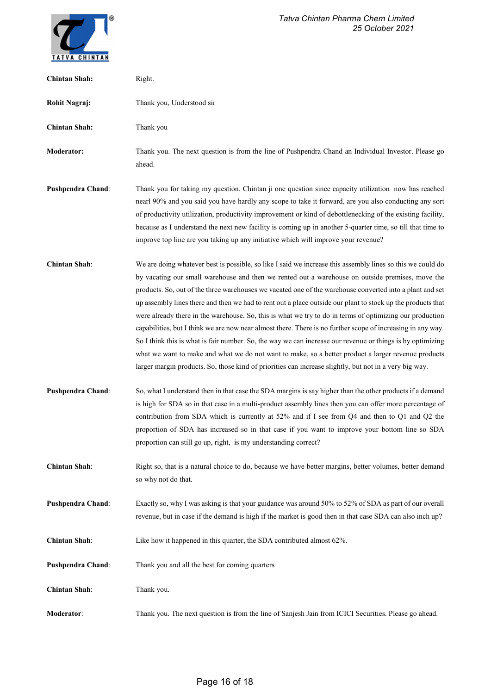

| <b>Chintan Shah:</b>     | Right.                                                                                                                                                                                                                                                                                                                                                                                                                                                                                                                                                                                                                                                                                                                                                                                                                                                                                                                                                                                              |
|--------------------------|-----------------------------------------------------------------------------------------------------------------------------------------------------------------------------------------------------------------------------------------------------------------------------------------------------------------------------------------------------------------------------------------------------------------------------------------------------------------------------------------------------------------------------------------------------------------------------------------------------------------------------------------------------------------------------------------------------------------------------------------------------------------------------------------------------------------------------------------------------------------------------------------------------------------------------------------------------------------------------------------------------|
| <b>Rohit Nagraj:</b>     | Thank you, Understood sir                                                                                                                                                                                                                                                                                                                                                                                                                                                                                                                                                                                                                                                                                                                                                                                                                                                                                                                                                                           |
| <b>Chintan Shah:</b>     | Thank you                                                                                                                                                                                                                                                                                                                                                                                                                                                                                                                                                                                                                                                                                                                                                                                                                                                                                                                                                                                           |
| <b>Moderator:</b>        | Thank you. The next question is from the line of Pushpendra Chand an Individual Investor. Please go<br>ahead.                                                                                                                                                                                                                                                                                                                                                                                                                                                                                                                                                                                                                                                                                                                                                                                                                                                                                       |
| <b>Pushpendra Chand:</b> | Thank you for taking my question. Chintan ji one question since capacity utilization now has reached<br>nearl 90% and you said you have hardly any scope to take it forward, are you also conducting any sort<br>of productivity utilization, productivity improvement or kind of debottlenecking of the existing facility,<br>because as I understand the next new facility is coming up in another 5-quarter time, so till that time to<br>improve top line are you taking up any initiative which will improve your revenue?                                                                                                                                                                                                                                                                                                                                                                                                                                                                     |
| <b>Chintan Shah:</b>     | We are doing whatever best is possible, so like I said we increase this assembly lines so this we could do<br>by vacating our small warehouse and then we rented out a warehouse on outside premises, move the<br>products. So, out of the three warehouses we vacated one of the warehouse converted into a plant and set<br>up assembly lines there and then we had to rent out a place outside our plant to stock up the products that<br>were already there in the warehouse. So, this is what we try to do in terms of optimizing our production<br>capabilities, but I think we are now near almost there. There is no further scope of increasing in any way.<br>So I think this is what is fair number. So, the way we can increase our revenue or things is by optimizing<br>what we want to make and what we do not want to make, so a better product a larger revenue products<br>larger margin products. So, those kind of priorities can increase slightly, but not in a very big way. |
| <b>Pushpendra Chand:</b> | So, what I understand then in that case the SDA margins is say higher than the other products if a demand<br>is high for SDA so in that case in a multi-product assembly lines then you can offer more percentage of<br>contribution from SDA which is currently at 52% and if I see from Q4 and then to Q1 and Q2 the<br>proportion of SDA has increased so in that case if you want to improve your bottom line so SDA<br>proportion can still go up, right, is my understanding correct?                                                                                                                                                                                                                                                                                                                                                                                                                                                                                                         |
| <b>Chintan Shah:</b>     | Right so, that is a natural choice to do, because we have better margins, better volumes, better demand<br>so why not do that.                                                                                                                                                                                                                                                                                                                                                                                                                                                                                                                                                                                                                                                                                                                                                                                                                                                                      |
| <b>Pushpendra Chand:</b> | Exactly so, why I was asking is that your guidance was around 50% to 52% of SDA as part of our overall<br>revenue, but in case if the demand is high if the market is good then in that case SDA can also inch up?                                                                                                                                                                                                                                                                                                                                                                                                                                                                                                                                                                                                                                                                                                                                                                                  |
| <b>Chintan Shah:</b>     | Like how it happened in this quarter, the SDA contributed almost 62%.                                                                                                                                                                                                                                                                                                                                                                                                                                                                                                                                                                                                                                                                                                                                                                                                                                                                                                                               |
| <b>Pushpendra Chand:</b> | Thank you and all the best for coming quarters                                                                                                                                                                                                                                                                                                                                                                                                                                                                                                                                                                                                                                                                                                                                                                                                                                                                                                                                                      |
| <b>Chintan Shah:</b>     | Thank you.                                                                                                                                                                                                                                                                                                                                                                                                                                                                                                                                                                                                                                                                                                                                                                                                                                                                                                                                                                                          |
| <b>Moderator:</b>        | Thank you. The next question is from the line of Sanjesh Jain from ICICI Securities. Please go ahead.                                                                                                                                                                                                                                                                                                                                                                                                                                                                                                                                                                                                                                                                                                                                                                                                                                                                                               |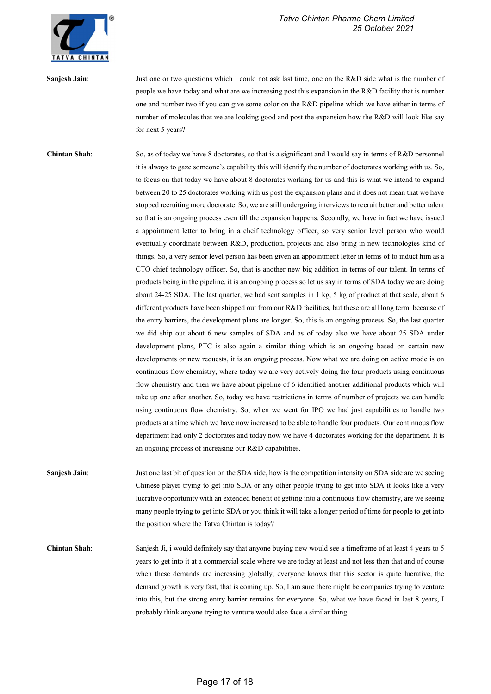

Sanjesh Jain: Just one or two questions which I could not ask last time, one on the R&D side what is the number of people we have today and what are we increasing post this expansion in the R&D facility that is number one and number two if you can give some color on the R&D pipeline which we have either in terms of number of molecules that we are looking good and post the expansion how the R&D will look like say for next 5 years?

Chintan Shah: So, as of today we have 8 doctorates, so that is a significant and I would say in terms of R&D personnel it is always to gaze someone's capability this will identify the number of doctorates working with us. So, to focus on that today we have about 8 doctorates working for us and this is what we intend to expand between 20 to 25 doctorates working with us post the expansion plans and it does not mean that we have stopped recruiting more doctorate. So, we are still undergoing interviews to recruit better and better talent so that is an ongoing process even till the expansion happens. Secondly, we have in fact we have issued a appointment letter to bring in a cheif technology officer, so very senior level person who would eventually coordinate between R&D, production, projects and also bring in new technologies kind of things. So, a very senior level person has been given an appointment letter in terms of to induct him as a CTO chief technology officer. So, that is another new big addition in terms of our talent. In terms of products being in the pipeline, it is an ongoing process so let us say in terms of SDA today we are doing about 24-25 SDA. The last quarter, we had sent samples in 1 kg, 5 kg of product at that scale, about 6 different products have been shipped out from our R&D facilities, but these are all long term, because of the entry barriers, the development plans are longer. So, this is an ongoing process. So, the last quarter we did ship out about 6 new samples of SDA and as of today also we have about 25 SDA under development plans, PTC is also again a similar thing which is an ongoing based on certain new developments or new requests, it is an ongoing process. Now what we are doing on active mode is on continuous flow chemistry, where today we are very actively doing the four products using continuous flow chemistry and then we have about pipeline of 6 identified another additional products which will take up one after another. So, today we have restrictions in terms of number of projects we can handle using continuous flow chemistry. So, when we went for IPO we had just capabilities to handle two products at a time which we have now increased to be able to handle four products. Our continuous flow department had only 2 doctorates and today now we have 4 doctorates working for the department. It is an ongoing process of increasing our R&D capabilities.

Sanjesh Jain: Just one last bit of question on the SDA side, how is the competition intensity on SDA side are we seeing Chinese player trying to get into SDA or any other people trying to get into SDA it looks like a very lucrative opportunity with an extended benefit of getting into a continuous flow chemistry, are we seeing many people trying to get into SDA or you think it will take a longer period of time for people to get into the position where the Tatva Chintan is today?

Chintan Shah: Sanjesh Ji, i would definitely say that anyone buying new would see a timeframe of at least 4 years to 5 years to get into it at a commercial scale where we are today at least and not less than that and of course when these demands are increasing globally, everyone knows that this sector is quite lucrative, the demand growth is very fast, that is coming up. So, I am sure there might be companies trying to venture into this, but the strong entry barrier remains for everyone. So, what we have faced in last 8 years, I probably think anyone trying to venture would also face a similar thing.